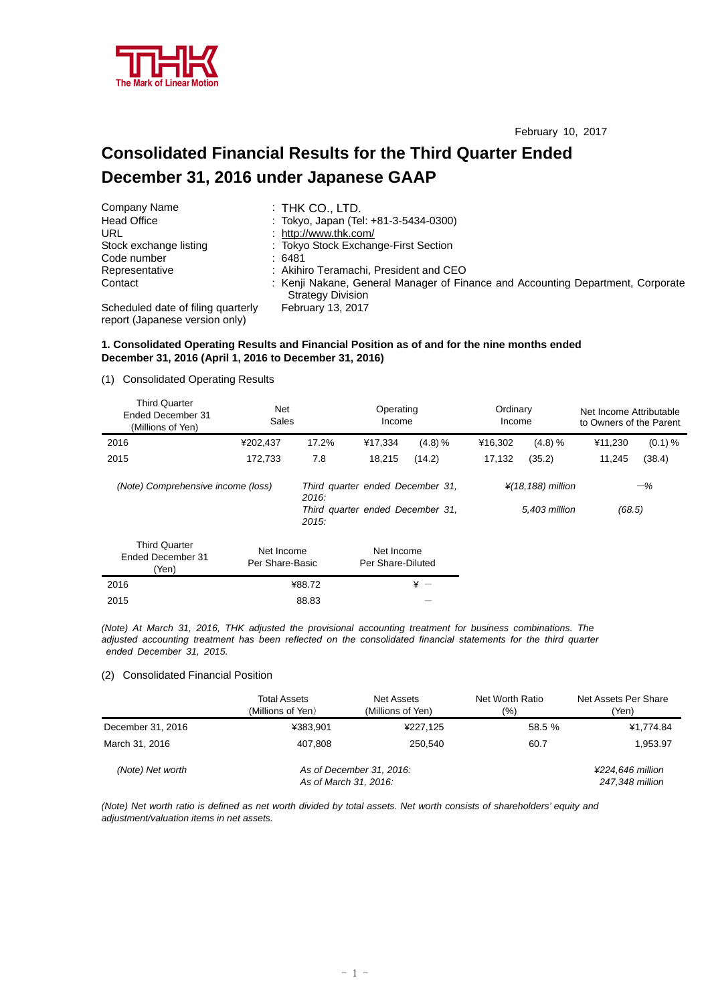

# **Consolidated Financial Results for the Third Quarter Ended December 31, 2016 under Japanese GAAP**

| Company Name                                                         | $:$ THK CO., LTD.                                                                                           |
|----------------------------------------------------------------------|-------------------------------------------------------------------------------------------------------------|
| <b>Head Office</b>                                                   | : Tokyo, Japan (Tel: +81-3-5434-0300)                                                                       |
| URL                                                                  | : http://www.thk.com/                                                                                       |
| Stock exchange listing                                               | : Tokyo Stock Exchange-First Section                                                                        |
| Code number                                                          | :6481                                                                                                       |
| Representative                                                       | : Akihiro Teramachi, President and CEO                                                                      |
| Contact                                                              | : Kenji Nakane, General Manager of Finance and Accounting Department, Corporate<br><b>Strategy Division</b> |
| Scheduled date of filing quarterly<br>report (Japanese version only) | <b>February 13, 2017</b>                                                                                    |

## **1. Consolidated Operating Results and Financial Position as of and for the nine months ended December 31, 2016 (April 1, 2016 to December 31, 2016)**

(1) Consolidated Operating Results

| <b>Third Quarter</b><br>Ended December 31<br>(Millions of Yen) | <b>Net</b><br>Sales |                                              | Operating<br>Income |            | Ordinary<br>Income |                                | Net Income Attributable<br>to Owners of the Parent |            |
|----------------------------------------------------------------|---------------------|----------------------------------------------|---------------------|------------|--------------------|--------------------------------|----------------------------------------------------|------------|
| 2016                                                           | ¥202.437            | 17.2%                                        | ¥17.334             | $(4.8) \%$ | ¥16.302            | (4.8) %                        | ¥11,230                                            | $(0.1) \%$ |
| 2015                                                           | 172.733             | 7.8                                          | 18,215              | (14.2)     | 17,132             | (35.2)                         | 11,245                                             | (38.4)     |
| (Note) Comprehensive income (loss)                             |                     | Third quarter ended December 31,<br>2016:    |                     |            |                    | $\frac{1}{4}$ (18,188) million |                                                    | $-\%$      |
|                                                                |                     | Third quarter ended December 31,<br>$2015$ : |                     |            |                    | 5.403 million                  | (68.5)                                             |            |
| <b>Third Quarter</b>                                           | Not Income          |                                              | Not Income          |            |                    |                                |                                                    |            |

| Ended December 31<br>'Yen) | Net Income<br>Per Share-Basic | Net Income<br>Per Share-Diluted |
|----------------------------|-------------------------------|---------------------------------|
| 2016                       | ¥88.72                        | ¥ —                             |
| 2015                       | 88.83                         |                                 |

*(Note) At March 31, 2016, THK adjusted the provisional accounting treatment for business combinations. The adjusted accounting treatment has been reflected on the consolidated financial statements for the third quarter ended December 31, 2015.*

# (2) Consolidated Financial Position

|                   | <b>Total Assets</b><br>(Millions of Yen) | Net Assets<br>(Millions of Yen)                   | Net Worth Ratio<br>Net Assets Per Share<br>(%) |                                     |
|-------------------|------------------------------------------|---------------------------------------------------|------------------------------------------------|-------------------------------------|
| December 31, 2016 | ¥383.901                                 | ¥227,125                                          | 58.5 %                                         | ¥1,774.84                           |
| March 31, 2016    | 407.808                                  | 250.540                                           | 60.7                                           | 1,953.97                            |
| (Note) Net worth  |                                          | As of December 31, 2016:<br>As of March 31, 2016: |                                                | ¥224.646 million<br>247,348 million |

*(Note) Net worth ratio is defined as net worth divided by total assets. Net worth consists of shareholders' equity and adjustment/valuation items in net assets.*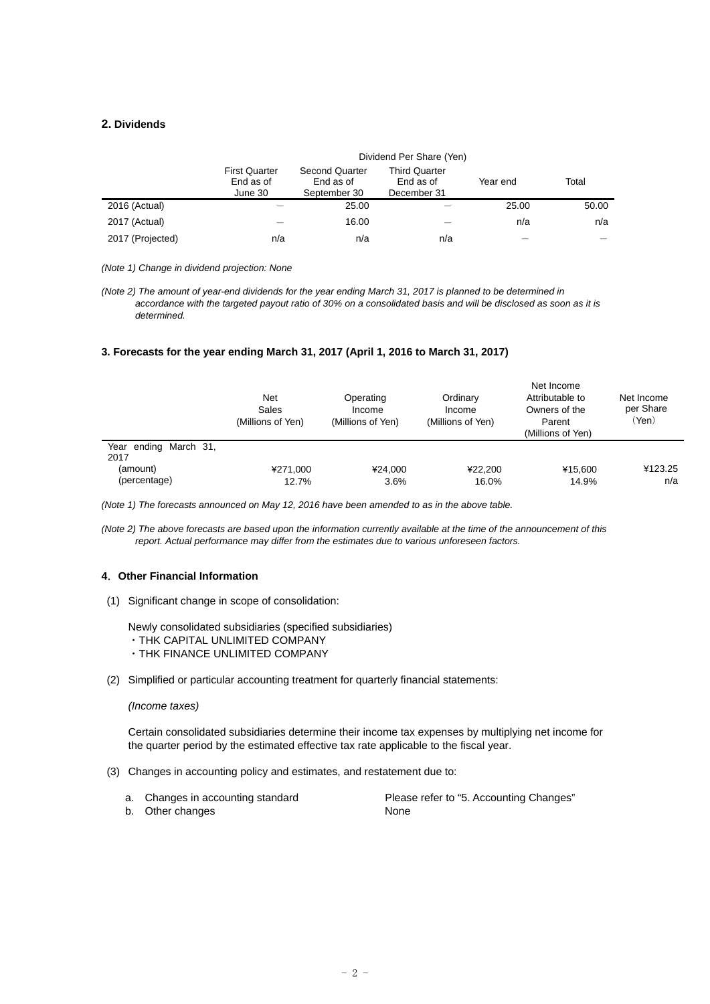# **2. Dividends**

|                  | Dividend Per Share (Yen)                     |                                                    |                                                  |          |       |  |  |  |
|------------------|----------------------------------------------|----------------------------------------------------|--------------------------------------------------|----------|-------|--|--|--|
|                  | <b>First Quarter</b><br>End as of<br>June 30 | <b>Second Quarter</b><br>End as of<br>September 30 | <b>Third Quarter</b><br>End as of<br>December 31 | Year end | Total |  |  |  |
| 2016 (Actual)    |                                              | 25.00                                              |                                                  | 25.00    | 50.00 |  |  |  |
| 2017 (Actual)    |                                              | 16.00                                              |                                                  | n/a      | n/a   |  |  |  |
| 2017 (Projected) | n/a                                          | n/a                                                | n/a                                              |          |       |  |  |  |

*(Note 1) Change in dividend projection: None* 

*(Note 2) The amount of year-end dividends for the year ending March 31, 2017 is planned to be determined in accordance with the targeted payout ratio of 30% on a consolidated basis and will be disclosed as soon as it is determined.* 

# **3. Forecasts for the year ending March 31, 2017 (April 1, 2016 to March 31, 2017)**

|                               | Net<br>Sales<br>(Millions of Yen) | Operating<br>Income<br>(Millions of Yen) | Ordinary<br>Income<br>(Millions of Yen) | Net Income<br>Attributable to<br>Owners of the<br>Parent<br>(Millions of Yen) | Net Income<br>per Share<br>(Yen) |  |
|-------------------------------|-----------------------------------|------------------------------------------|-----------------------------------------|-------------------------------------------------------------------------------|----------------------------------|--|
| Year ending March 31,<br>2017 |                                   |                                          |                                         |                                                                               |                                  |  |
| (amount)                      | ¥271.000                          | ¥24.000                                  | ¥22,200                                 | ¥15.600                                                                       | ¥123.25                          |  |
| (percentage)                  | 12.7%                             | 3.6%                                     | 16.0%                                   | 14.9%                                                                         | n/a                              |  |

*(Note 1) The forecasts announced on May 12, 2016 have been amended to as in the above table.* 

*(Note 2) The above forecasts are based upon the information currently available at the time of the announcement of this report. Actual performance may differ from the estimates due to various unforeseen factors.* 

# **4**.**Other Financial Information**

(1) Significant change in scope of consolidation:

Newly consolidated subsidiaries (specified subsidiaries) ・THK CAPITAL UNLIMITED COMPANY ・THK FINANCE UNLIMITED COMPANY

(2) Simplified or particular accounting treatment for quarterly financial statements:

#### *(Income taxes)*

Certain consolidated subsidiaries determine their income tax expenses by multiplying net income for the quarter period by the estimated effective tax rate applicable to the fiscal year.

- (3) Changes in accounting policy and estimates, and restatement due to:
	- a. Changes in accounting standard Please refer to "5. Accounting Changes" b. Other changes None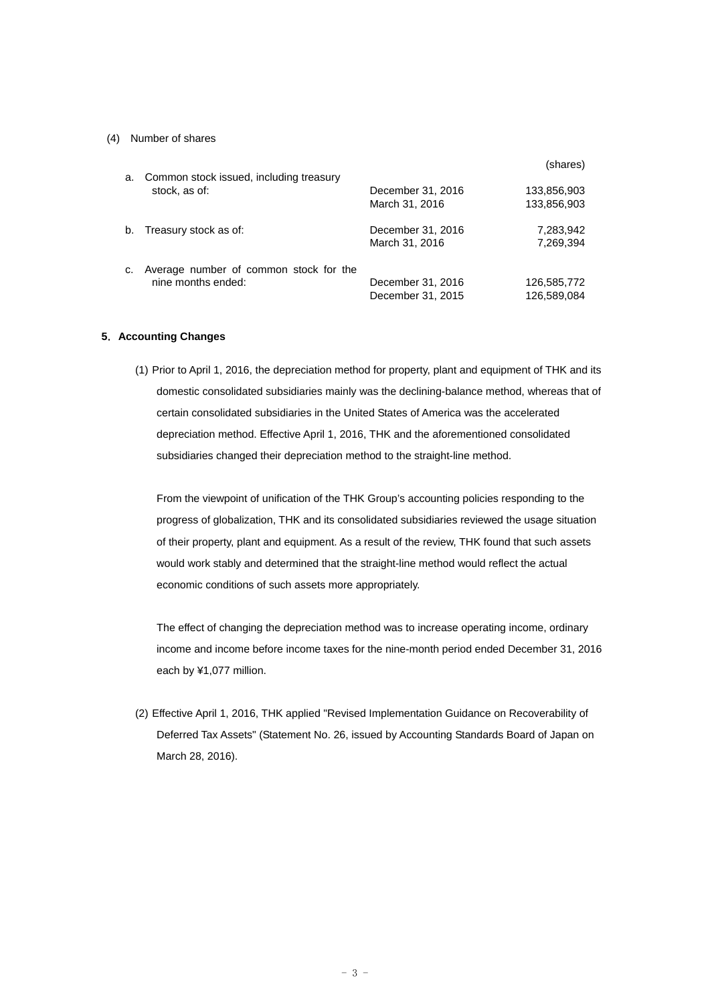## (4) Number of shares

| a. | Common stock issued, including treasury                      |                                        | (shares)                   |
|----|--------------------------------------------------------------|----------------------------------------|----------------------------|
|    | stock, as of:                                                | December 31, 2016<br>March 31, 2016    | 133,856,903<br>133,856,903 |
| b. | Treasury stock as of:                                        | December 31, 2016<br>March 31, 2016    | 7,283,942<br>7,269,394     |
| c. | Average number of common stock for the<br>nine months ended: | December 31, 2016<br>December 31, 2015 | 126,585,772<br>126.589.084 |

### **5**.**Accounting Changes**

(1) Prior to April 1, 2016, the depreciation method for property, plant and equipment of THK and its domestic consolidated subsidiaries mainly was the declining-balance method, whereas that of certain consolidated subsidiaries in the United States of America was the accelerated depreciation method. Effective April 1, 2016, THK and the aforementioned consolidated subsidiaries changed their depreciation method to the straight-line method.

From the viewpoint of unification of the THK Group's accounting policies responding to the progress of globalization, THK and its consolidated subsidiaries reviewed the usage situation of their property, plant and equipment. As a result of the review, THK found that such assets would work stably and determined that the straight-line method would reflect the actual economic conditions of such assets more appropriately.

The effect of changing the depreciation method was to increase operating income, ordinary income and income before income taxes for the nine-month period ended December 31, 2016 each by ¥1,077 million.

(2) Effective April 1, 2016, THK applied "Revised Implementation Guidance on Recoverability of Deferred Tax Assets" (Statement No. 26, issued by Accounting Standards Board of Japan on March 28, 2016).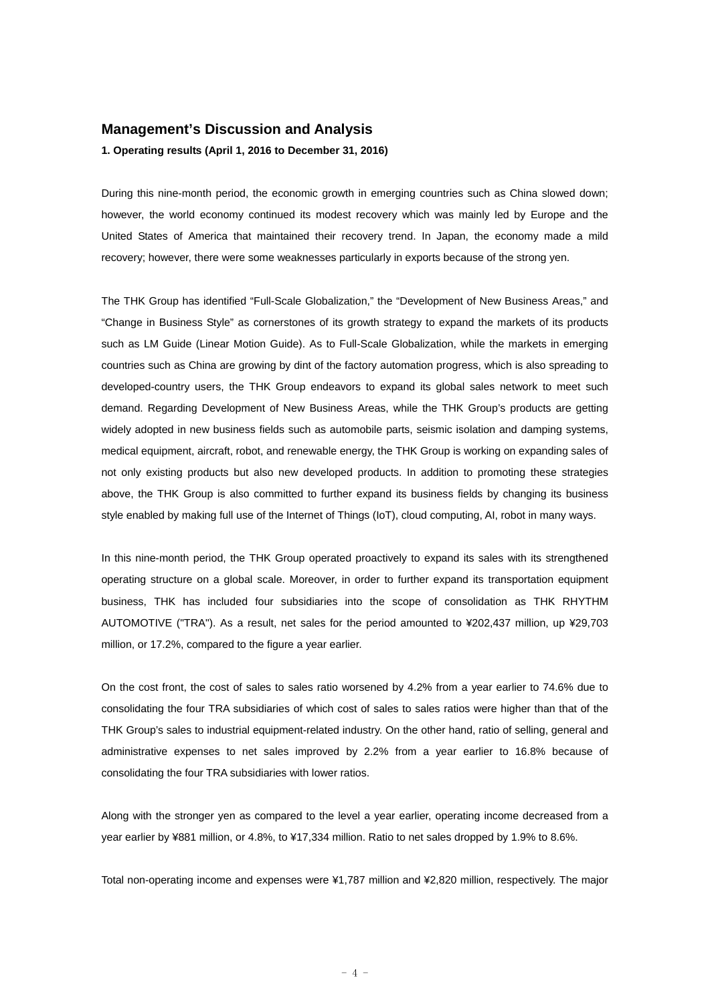# **Management's Discussion and Analysis**

## **1. Operating results (April 1, 2016 to December 31, 2016)**

During this nine-month period, the economic growth in emerging countries such as China slowed down; however, the world economy continued its modest recovery which was mainly led by Europe and the United States of America that maintained their recovery trend. In Japan, the economy made a mild recovery; however, there were some weaknesses particularly in exports because of the strong yen.

The THK Group has identified "Full-Scale Globalization," the "Development of New Business Areas," and "Change in Business Style" as cornerstones of its growth strategy to expand the markets of its products such as LM Guide (Linear Motion Guide). As to Full-Scale Globalization, while the markets in emerging countries such as China are growing by dint of the factory automation progress, which is also spreading to developed-country users, the THK Group endeavors to expand its global sales network to meet such demand. Regarding Development of New Business Areas, while the THK Group's products are getting widely adopted in new business fields such as automobile parts, seismic isolation and damping systems, medical equipment, aircraft, robot, and renewable energy, the THK Group is working on expanding sales of not only existing products but also new developed products. In addition to promoting these strategies above, the THK Group is also committed to further expand its business fields by changing its business style enabled by making full use of the Internet of Things (IoT), cloud computing, AI, robot in many ways.

In this nine-month period, the THK Group operated proactively to expand its sales with its strengthened operating structure on a global scale. Moreover, in order to further expand its transportation equipment business, THK has included four subsidiaries into the scope of consolidation as THK RHYTHM AUTOMOTIVE ("TRA"). As a result, net sales for the period amounted to ¥202,437 million, up ¥29,703 million, or 17.2%, compared to the figure a year earlier.

On the cost front, the cost of sales to sales ratio worsened by 4.2% from a year earlier to 74.6% due to consolidating the four TRA subsidiaries of which cost of sales to sales ratios were higher than that of the THK Group's sales to industrial equipment-related industry. On the other hand, ratio of selling, general and administrative expenses to net sales improved by 2.2% from a year earlier to 16.8% because of consolidating the four TRA subsidiaries with lower ratios.

Along with the stronger yen as compared to the level a year earlier, operating income decreased from a year earlier by ¥881 million, or 4.8%, to ¥17,334 million. Ratio to net sales dropped by 1.9% to 8.6%.

Total non-operating income and expenses were ¥1,787 million and ¥2,820 million, respectively. The major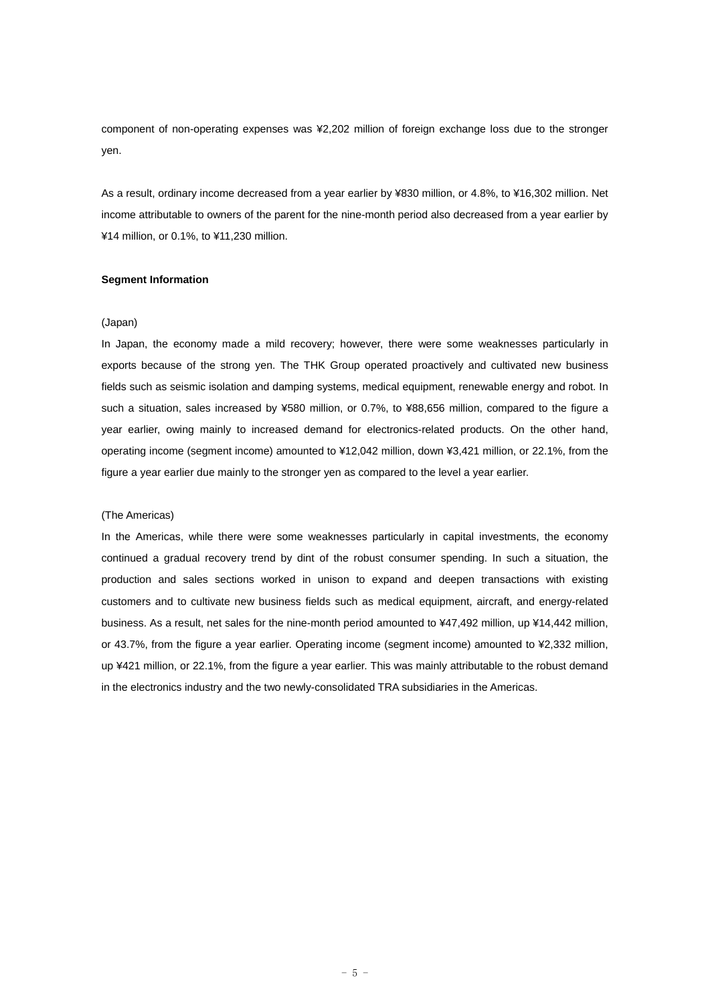component of non-operating expenses was ¥2,202 million of foreign exchange loss due to the stronger yen.

As a result, ordinary income decreased from a year earlier by ¥830 million, or 4.8%, to ¥16,302 million. Net income attributable to owners of the parent for the nine-month period also decreased from a year earlier by ¥14 million, or 0.1%, to ¥11,230 million.

## **Segment Information**

# (Japan)

In Japan, the economy made a mild recovery; however, there were some weaknesses particularly in exports because of the strong yen. The THK Group operated proactively and cultivated new business fields such as seismic isolation and damping systems, medical equipment, renewable energy and robot. In such a situation, sales increased by ¥580 million, or 0.7%, to ¥88,656 million, compared to the figure a year earlier, owing mainly to increased demand for electronics-related products. On the other hand, operating income (segment income) amounted to ¥12,042 million, down ¥3,421 million, or 22.1%, from the figure a year earlier due mainly to the stronger yen as compared to the level a year earlier.

### (The Americas)

In the Americas, while there were some weaknesses particularly in capital investments, the economy continued a gradual recovery trend by dint of the robust consumer spending. In such a situation, the production and sales sections worked in unison to expand and deepen transactions with existing customers and to cultivate new business fields such as medical equipment, aircraft, and energy-related business. As a result, net sales for the nine-month period amounted to ¥47,492 million, up ¥14,442 million, or 43.7%, from the figure a year earlier. Operating income (segment income) amounted to ¥2,332 million, up ¥421 million, or 22.1%, from the figure a year earlier. This was mainly attributable to the robust demand in the electronics industry and the two newly-consolidated TRA subsidiaries in the Americas.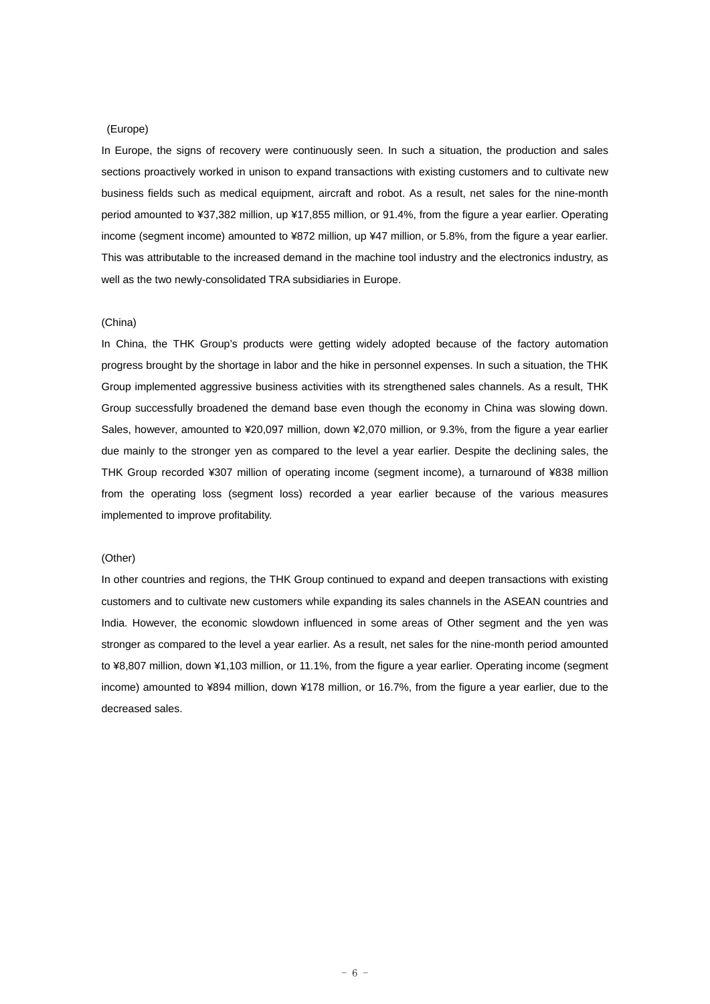#### (Europe)

In Europe, the signs of recovery were continuously seen. In such a situation, the production and sales sections proactively worked in unison to expand transactions with existing customers and to cultivate new business fields such as medical equipment, aircraft and robot. As a result, net sales for the nine-month period amounted to ¥37,382 million, up ¥17,855 million, or 91.4%, from the figure a year earlier. Operating income (segment income) amounted to ¥872 million, up ¥47 million, or 5.8%, from the figure a year earlier. This was attributable to the increased demand in the machine tool industry and the electronics industry, as well as the two newly-consolidated TRA subsidiaries in Europe.

#### (China)

In China, the THK Group's products were getting widely adopted because of the factory automation progress brought by the shortage in labor and the hike in personnel expenses. In such a situation, the THK Group implemented aggressive business activities with its strengthened sales channels. As a result, THK Group successfully broadened the demand base even though the economy in China was slowing down. Sales, however, amounted to ¥20,097 million, down ¥2,070 million, or 9.3%, from the figure a year earlier due mainly to the stronger yen as compared to the level a year earlier. Despite the declining sales, the THK Group recorded ¥307 million of operating income (segment income), a turnaround of ¥838 million from the operating loss (segment loss) recorded a year earlier because of the various measures implemented to improve profitability.

## (Other)

In other countries and regions, the THK Group continued to expand and deepen transactions with existing customers and to cultivate new customers while expanding its sales channels in the ASEAN countries and India. However, the economic slowdown influenced in some areas of Other segment and the yen was stronger as compared to the level a year earlier. As a result, net sales for the nine-month period amounted to ¥8,807 million, down ¥1,103 million, or 11.1%, from the figure a year earlier. Operating income (segment income) amounted to ¥894 million, down ¥178 million, or 16.7%, from the figure a year earlier, due to the decreased sales.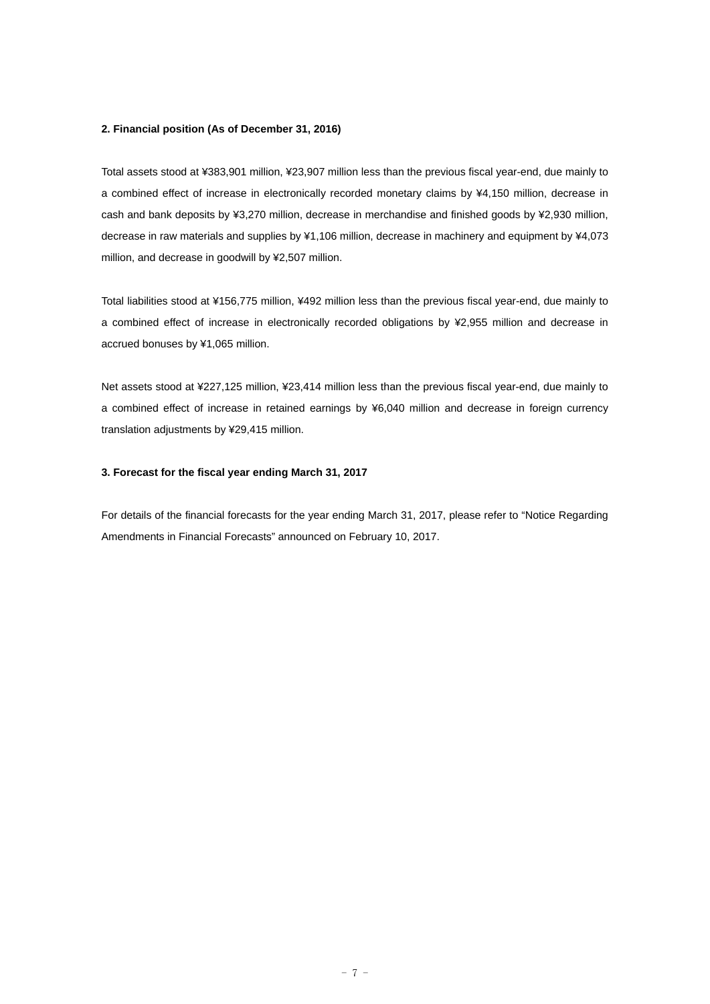### **2. Financial position (As of December 31, 2016)**

Total assets stood at ¥383,901 million, ¥23,907 million less than the previous fiscal year-end, due mainly to a combined effect of increase in electronically recorded monetary claims by ¥4,150 million, decrease in cash and bank deposits by ¥3,270 million, decrease in merchandise and finished goods by ¥2,930 million, decrease in raw materials and supplies by ¥1,106 million, decrease in machinery and equipment by ¥4,073 million, and decrease in goodwill by ¥2,507 million.

Total liabilities stood at ¥156,775 million, ¥492 million less than the previous fiscal year-end, due mainly to a combined effect of increase in electronically recorded obligations by ¥2,955 million and decrease in accrued bonuses by ¥1,065 million.

Net assets stood at ¥227,125 million, ¥23,414 million less than the previous fiscal year-end, due mainly to a combined effect of increase in retained earnings by ¥6,040 million and decrease in foreign currency translation adjustments by ¥29,415 million.

# **3. Forecast for the fiscal year ending March 31, 2017**

For details of the financial forecasts for the year ending March 31, 2017, please refer to "Notice Regarding Amendments in Financial Forecasts" announced on February 10, 2017.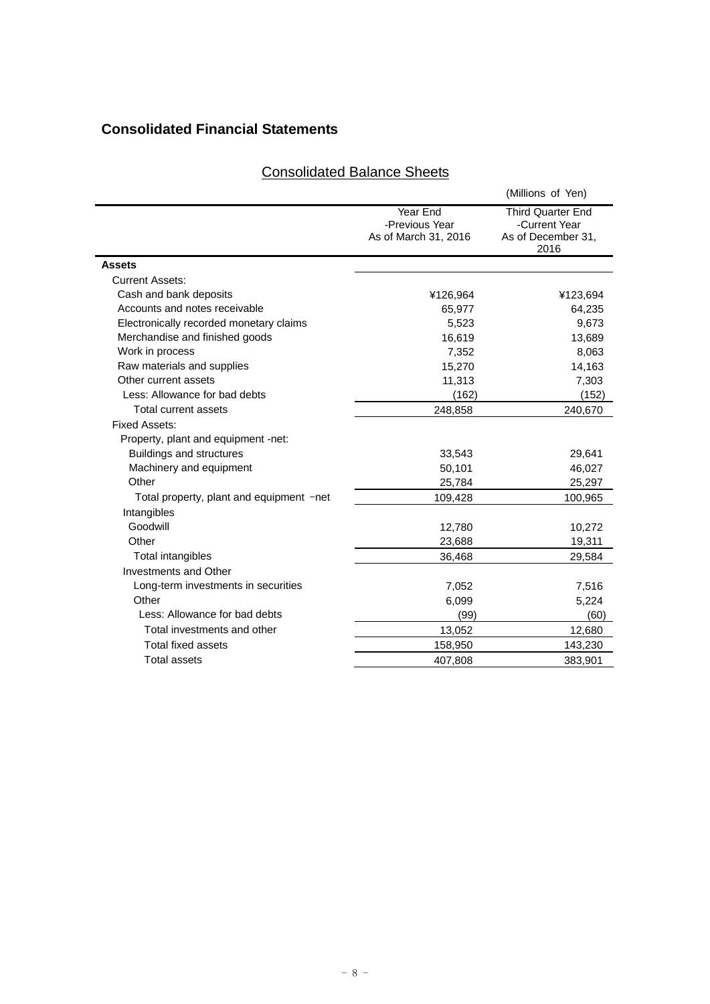# **Consolidated Financial Statements**

|                                          |                                                    | (Millions of Yen)                                                       |
|------------------------------------------|----------------------------------------------------|-------------------------------------------------------------------------|
|                                          | Year End<br>-Previous Year<br>As of March 31, 2016 | <b>Third Quarter End</b><br>-Current Year<br>As of December 31,<br>2016 |
| <b>Assets</b>                            |                                                    |                                                                         |
| <b>Current Assets:</b>                   |                                                    |                                                                         |
| Cash and bank deposits                   | ¥126,964                                           | ¥123,694                                                                |
| Accounts and notes receivable            | 65,977                                             | 64,235                                                                  |
| Electronically recorded monetary claims  | 5,523                                              | 9,673                                                                   |
| Merchandise and finished goods           | 16,619                                             | 13,689                                                                  |
| Work in process                          | 7,352                                              | 8,063                                                                   |
| Raw materials and supplies               | 15,270                                             | 14,163                                                                  |
| Other current assets                     | 11,313                                             | 7,303                                                                   |
| Less: Allowance for bad debts            | (162)                                              | (152)                                                                   |
| Total current assets                     | 248,858                                            | 240,670                                                                 |
| <b>Fixed Assets:</b>                     |                                                    |                                                                         |
| Property, plant and equipment -net:      |                                                    |                                                                         |
| <b>Buildings and structures</b>          | 33,543                                             | 29,641                                                                  |
| Machinery and equipment                  | 50,101                                             | 46,027                                                                  |
| Other                                    | 25,784                                             | 25,297                                                                  |
| Total property, plant and equipment -net | 109,428                                            | 100,965                                                                 |
| Intangibles                              |                                                    |                                                                         |
| Goodwill                                 | 12,780                                             | 10,272                                                                  |
| Other                                    | 23,688                                             | 19,311                                                                  |
| Total intangibles                        | 36,468                                             | 29,584                                                                  |
| Investments and Other                    |                                                    |                                                                         |
| Long-term investments in securities      | 7,052                                              | 7,516                                                                   |
| Other                                    | 6,099                                              | 5,224                                                                   |
| Less: Allowance for bad debts            | (99)                                               | (60)                                                                    |
| Total investments and other              | 13,052                                             | 12,680                                                                  |
| <b>Total fixed assets</b>                | 158,950                                            | 143,230                                                                 |
| <b>Total assets</b>                      | 407.808                                            | 383,901                                                                 |

# Consolidated Balance Sheets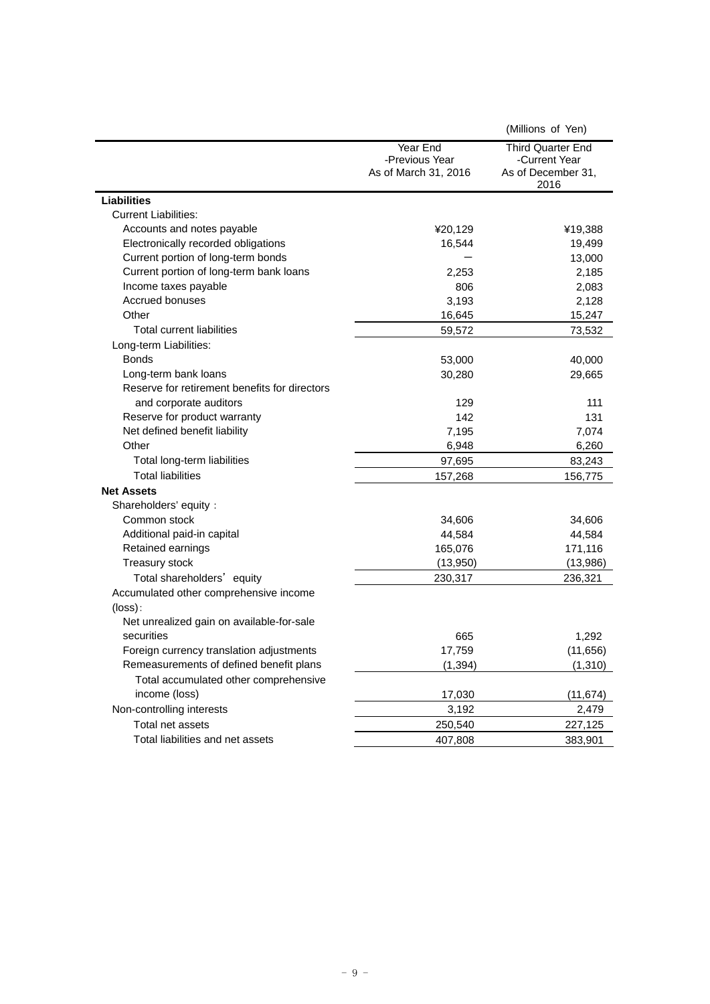|                                               |                                                    | (Millions of Yen)                                                       |
|-----------------------------------------------|----------------------------------------------------|-------------------------------------------------------------------------|
|                                               | Year End<br>-Previous Year<br>As of March 31, 2016 | <b>Third Quarter End</b><br>-Current Year<br>As of December 31,<br>2016 |
| <b>Liabilities</b>                            |                                                    |                                                                         |
| <b>Current Liabilities:</b>                   |                                                    |                                                                         |
| Accounts and notes payable                    | ¥20,129                                            | ¥19,388                                                                 |
| Electronically recorded obligations           | 16,544                                             | 19,499                                                                  |
| Current portion of long-term bonds            |                                                    | 13,000                                                                  |
| Current portion of long-term bank loans       | 2,253                                              | 2,185                                                                   |
| Income taxes payable                          | 806                                                | 2,083                                                                   |
| Accrued bonuses                               | 3,193                                              | 2,128                                                                   |
| Other                                         | 16,645                                             | 15,247                                                                  |
| <b>Total current liabilities</b>              | 59,572                                             | 73,532                                                                  |
| Long-term Liabilities:                        |                                                    |                                                                         |
| <b>Bonds</b>                                  | 53,000                                             | 40,000                                                                  |
| Long-term bank loans                          | 30,280                                             | 29,665                                                                  |
| Reserve for retirement benefits for directors |                                                    |                                                                         |
| and corporate auditors                        | 129                                                | 111                                                                     |
| Reserve for product warranty                  | 142                                                | 131                                                                     |
| Net defined benefit liability                 | 7,195                                              | 7,074                                                                   |
| Other                                         | 6,948                                              | 6,260                                                                   |
| Total long-term liabilities                   | 97,695                                             | 83,243                                                                  |
| <b>Total liabilities</b>                      | 157,268                                            | 156,775                                                                 |
| <b>Net Assets</b>                             |                                                    |                                                                         |
| Shareholders' equity :                        |                                                    |                                                                         |
| Common stock                                  | 34,606                                             | 34,606                                                                  |
| Additional paid-in capital                    | 44,584                                             | 44,584                                                                  |
| Retained earnings                             | 165,076                                            | 171,116                                                                 |
| Treasury stock                                | (13,950)                                           | (13,986)                                                                |
| Total shareholders' equity                    | 230,317                                            | 236,321                                                                 |
| Accumulated other comprehensive income        |                                                    |                                                                         |
| $(\text{loss})$ :                             |                                                    |                                                                         |
| Net unrealized gain on available-for-sale     |                                                    |                                                                         |
| securities                                    | 665                                                | 1,292                                                                   |
| Foreign currency translation adjustments      | 17,759                                             | (11, 656)                                                               |
| Remeasurements of defined benefit plans       | (1, 394)                                           | (1, 310)                                                                |
| Total accumulated other comprehensive         |                                                    |                                                                         |
| income (loss)                                 | 17,030                                             | (11, 674)                                                               |
| Non-controlling interests                     | 3,192                                              | 2,479                                                                   |
| Total net assets                              | 250,540                                            | 227,125                                                                 |
| Total liabilities and net assets              | 407,808                                            | 383,901                                                                 |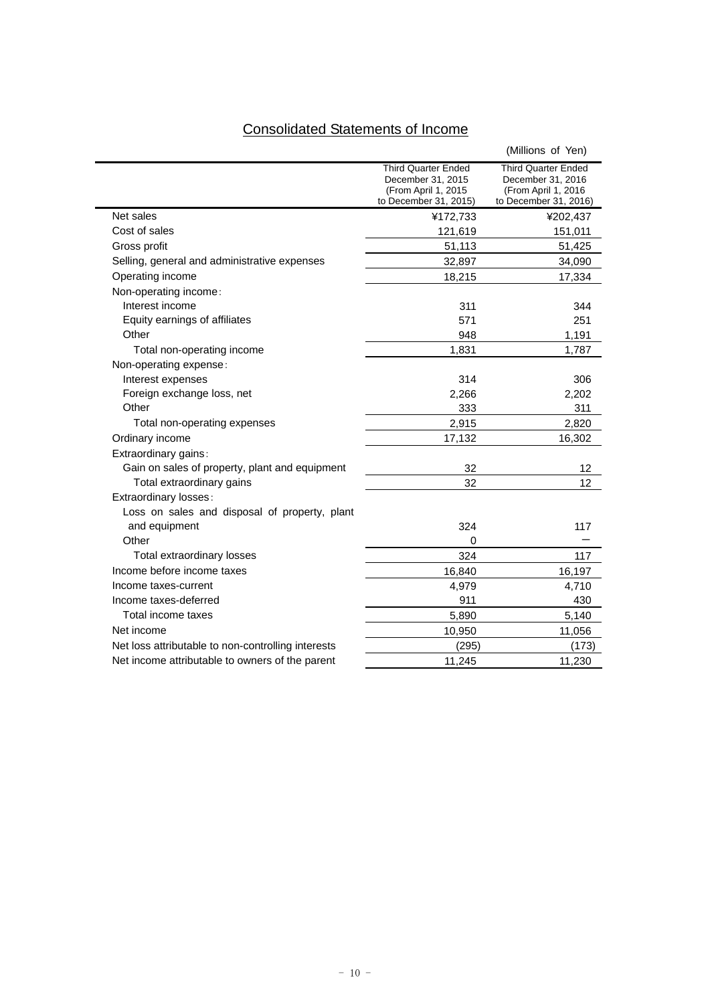# Consolidated Statements of Income

|                                                    |                                                                                          | (Millions of Yen)                                                                               |
|----------------------------------------------------|------------------------------------------------------------------------------------------|-------------------------------------------------------------------------------------------------|
|                                                    | Third Quarter Ended<br>December 31, 2015<br>(From April 1, 2015<br>to December 31, 2015) | <b>Third Quarter Ended</b><br>December 31, 2016<br>(From April 1, 2016<br>to December 31, 2016) |
| Net sales                                          | ¥172,733                                                                                 | ¥202,437                                                                                        |
| Cost of sales                                      | 121,619                                                                                  | 151,011                                                                                         |
| Gross profit                                       | 51,113                                                                                   | 51,425                                                                                          |
| Selling, general and administrative expenses       | 32,897                                                                                   | 34,090                                                                                          |
| Operating income                                   | 18,215                                                                                   | 17,334                                                                                          |
| Non-operating income:                              |                                                                                          |                                                                                                 |
| Interest income                                    | 311                                                                                      | 344                                                                                             |
| Equity earnings of affiliates                      | 571                                                                                      | 251                                                                                             |
| Other                                              | 948                                                                                      | 1,191                                                                                           |
| Total non-operating income                         | 1,831                                                                                    | 1,787                                                                                           |
| Non-operating expense:                             |                                                                                          |                                                                                                 |
| Interest expenses                                  | 314                                                                                      | 306                                                                                             |
| Foreign exchange loss, net                         | 2,266                                                                                    | 2,202                                                                                           |
| Other                                              | 333                                                                                      | 311                                                                                             |
| Total non-operating expenses                       | 2,915                                                                                    | 2,820                                                                                           |
| Ordinary income                                    | 17,132                                                                                   | 16,302                                                                                          |
| Extraordinary gains:                               |                                                                                          |                                                                                                 |
| Gain on sales of property, plant and equipment     | 32                                                                                       | 12                                                                                              |
| Total extraordinary gains                          | 32                                                                                       | 12                                                                                              |
| Extraordinary losses:                              |                                                                                          |                                                                                                 |
| Loss on sales and disposal of property, plant      |                                                                                          |                                                                                                 |
| and equipment                                      | 324                                                                                      | 117                                                                                             |
| Other                                              | 0                                                                                        |                                                                                                 |
| Total extraordinary losses                         | 324                                                                                      | 117                                                                                             |
| Income before income taxes                         | 16,840                                                                                   | 16,197                                                                                          |
| Income taxes-current                               | 4,979                                                                                    | 4,710                                                                                           |
| Income taxes-deferred                              | 911                                                                                      | 430                                                                                             |
| Total income taxes                                 | 5,890                                                                                    | 5,140                                                                                           |
| Net income                                         | 10,950                                                                                   | 11,056                                                                                          |
| Net loss attributable to non-controlling interests | (295)                                                                                    | (173)                                                                                           |
| Net income attributable to owners of the parent    | 11,245                                                                                   | 11,230                                                                                          |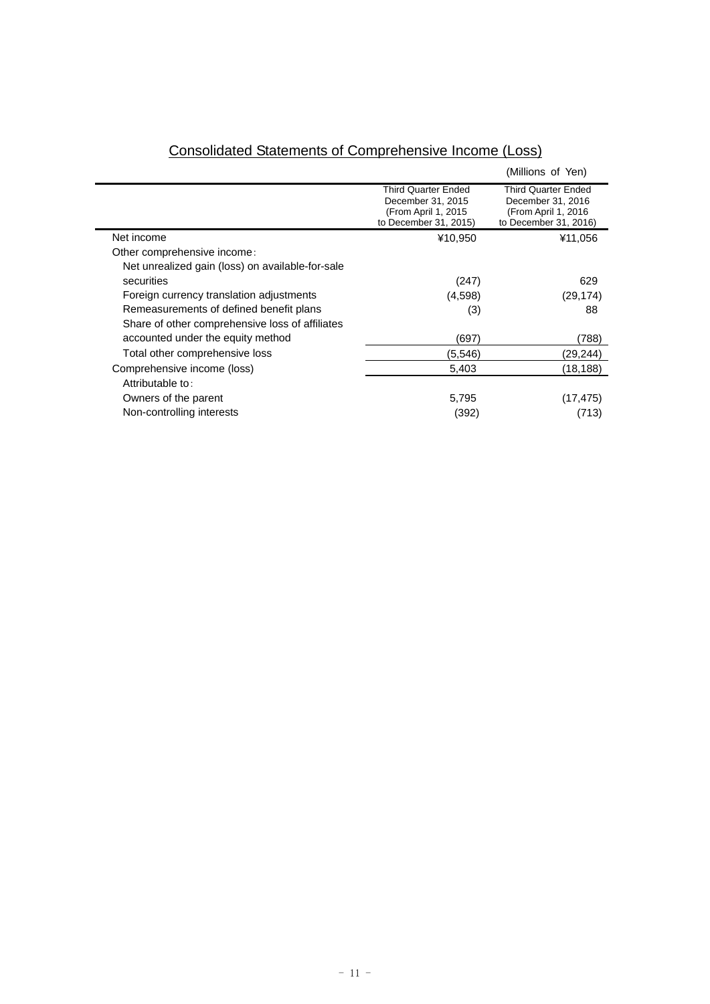|                                                  |                                                                                                 | (Millions of Yen)                                                                                |
|--------------------------------------------------|-------------------------------------------------------------------------------------------------|--------------------------------------------------------------------------------------------------|
|                                                  | <b>Third Quarter Ended</b><br>December 31, 2015<br>(From April 1, 2015<br>to December 31, 2015) | <b>Third Quarter Ended</b><br>December 31, 2016<br>(From April 1, 2016)<br>to December 31, 2016) |
| Net income                                       | ¥10,950                                                                                         | ¥11,056                                                                                          |
| Other comprehensive income:                      |                                                                                                 |                                                                                                  |
| Net unrealized gain (loss) on available-for-sale |                                                                                                 |                                                                                                  |
| securities                                       | (247)                                                                                           | 629                                                                                              |
| Foreign currency translation adjustments         | (4,598)                                                                                         | (29, 174)                                                                                        |
| Remeasurements of defined benefit plans          | (3)                                                                                             | 88                                                                                               |
| Share of other comprehensive loss of affiliates  |                                                                                                 |                                                                                                  |
| accounted under the equity method                | (697)                                                                                           | (788)                                                                                            |
| Total other comprehensive loss                   | (5,546)                                                                                         | (29,244)                                                                                         |
| Comprehensive income (loss)                      | 5,403                                                                                           | (18,188)                                                                                         |
| Attributable to:                                 |                                                                                                 |                                                                                                  |
| Owners of the parent                             | 5,795                                                                                           | (17, 475)                                                                                        |
| Non-controlling interests                        | (392)                                                                                           | (713)                                                                                            |

# Consolidated Statements of Comprehensive Income (Loss)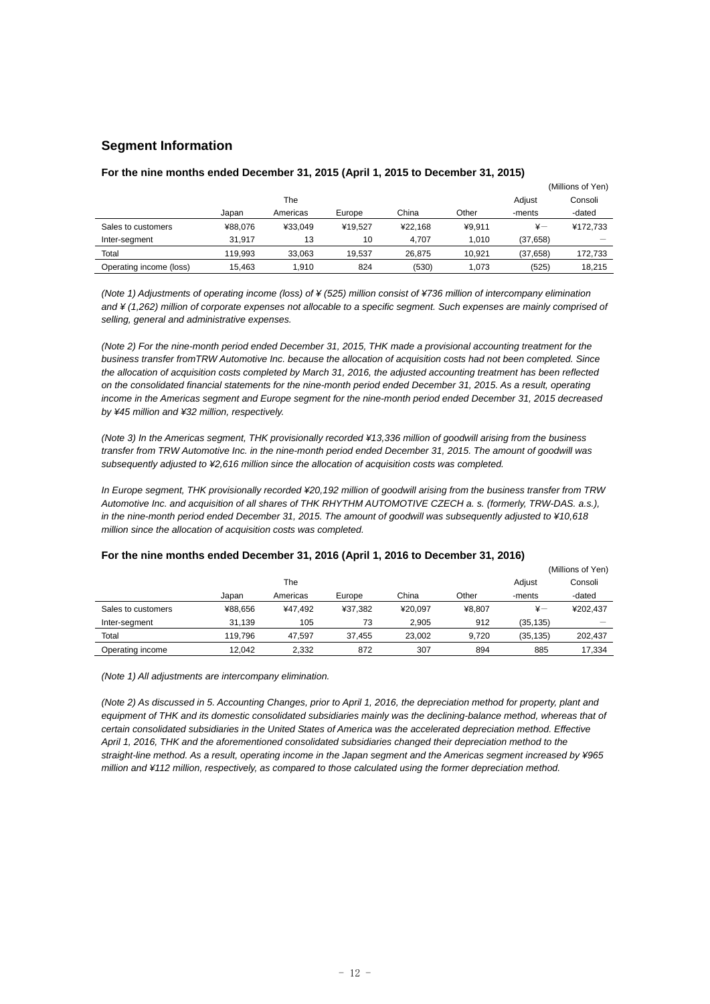# **Segment Information**

|                         |         |          |         |         |        |               | (Millions of Yen) |
|-------------------------|---------|----------|---------|---------|--------|---------------|-------------------|
|                         |         | The      |         |         |        | Adjust        | Consoli           |
|                         | Japan   | Americas | Europe  | China   | Other  | -ments        | -dated            |
| Sales to customers      | ¥88.076 | ¥33.049  | ¥19.527 | ¥22.168 | ¥9.911 | $\frac{1}{2}$ | ¥172,733          |
| Inter-segment           | 31.917  | 13       | 10      | 4.707   | 1.010  | (37,658)      |                   |
| Total                   | 119.993 | 33.063   | 19.537  | 26.875  | 10.921 | (37, 658)     | 172,733           |
| Operating income (loss) | 15.463  | 1.910    | 824     | (530)   | 1.073  | (525)         | 18.215            |

# **For the nine months ended December 31, 2015 (April 1, 2015 to December 31, 2015)**

*(Note 1) Adjustments of operating income (loss) of ¥ (525) million consist of ¥736 million of intercompany elimination and ¥ (1,262) million of corporate expenses not allocable to a specific segment. Such expenses are mainly comprised of selling, general and administrative expenses.* 

*(Note 2) For the nine-month period ended December 31, 2015, THK made a provisional accounting treatment for the business transfer fromTRW Automotive Inc. because the allocation of acquisition costs had not been completed. Since the allocation of acquisition costs completed by March 31, 2016, the adjusted accounting treatment has been reflected on the consolidated financial statements for the nine-month period ended December 31, 2015. As a result, operating income in the Americas segment and Europe segment for the nine-month period ended December 31, 2015 decreased by ¥45 million and ¥32 million, respectively.* 

*(Note 3) In the Americas segment, THK provisionally recorded ¥13,336 million of goodwill arising from the business transfer from TRW Automotive Inc. in the nine-month period ended December 31, 2015. The amount of goodwill was subsequently adjusted to ¥2,616 million since the allocation of acquisition costs was completed.* 

*In Europe segment, THK provisionally recorded ¥20,192 million of goodwill arising from the business transfer from TRW Automotive Inc. and acquisition of all shares of THK RHYTHM AUTOMOTIVE CZECH a. s. (formerly, TRW-DAS. a.s.), in the nine-month period ended December 31, 2015. The amount of goodwill was subsequently adjusted to ¥10,618 million since the allocation of acquisition costs was completed.* 

|                    |         |          |         |         |        |               | (Millions of Yen) |
|--------------------|---------|----------|---------|---------|--------|---------------|-------------------|
|                    |         | The      |         |         |        | Adjust        | Consoli           |
|                    | Japan   | Americas | Europe  | China   | Other  | -ments        | -dated            |
| Sales to customers | ¥88.656 | ¥47.492  | ¥37.382 | ¥20.097 | ¥8.807 | $\frac{1}{2}$ | ¥202.437          |
| Inter-segment      | 31.139  | 105      | 73      | 2.905   | 912    | (35, 135)     |                   |
| Total              | 119.796 | 47.597   | 37.455  | 23.002  | 9,720  | (35, 135)     | 202.437           |
| Operating income   | 12.042  | 2.332    | 872     | 307     | 894    | 885           | 17,334            |

# **For the nine months ended December 31, 2016 (April 1, 2016 to December 31, 2016)**

*(Note 1) All adjustments are intercompany elimination.* 

*(Note 2) As discussed in 5. Accounting Changes, prior to April 1, 2016, the depreciation method for property, plant and*  equipment of THK and its domestic consolidated subsidiaries mainly was the declining-balance method, whereas that of *certain consolidated subsidiaries in the United States of America was the accelerated depreciation method. Effective April 1, 2016, THK and the aforementioned consolidated subsidiaries changed their depreciation method to the straight-line method. As a result, operating income in the Japan segment and the Americas segment increased by ¥965 million and ¥112 million, respectively, as compared to those calculated using the former depreciation method.*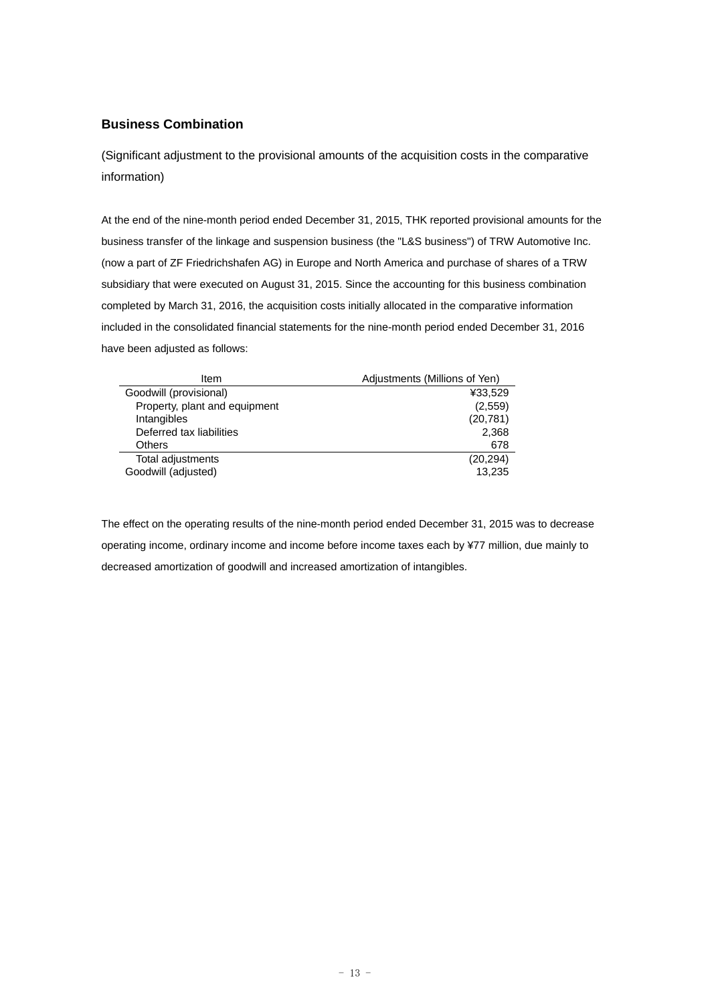# **Business Combination**

(Significant adjustment to the provisional amounts of the acquisition costs in the comparative information)

At the end of the nine-month period ended December 31, 2015, THK reported provisional amounts for the business transfer of the linkage and suspension business (the "L&S business") of TRW Automotive Inc. (now a part of ZF Friedrichshafen AG) in Europe and North America and purchase of shares of a TRW subsidiary that were executed on August 31, 2015. Since the accounting for this business combination completed by March 31, 2016, the acquisition costs initially allocated in the comparative information included in the consolidated financial statements for the nine-month period ended December 31, 2016 have been adjusted as follows:

| Item                          | Adjustments (Millions of Yen) |
|-------------------------------|-------------------------------|
| Goodwill (provisional)        | ¥33,529                       |
| Property, plant and equipment | (2,559)                       |
| Intangibles                   | (20, 781)                     |
| Deferred tax liabilities      | 2,368                         |
| <b>Others</b>                 | 678                           |
| Total adjustments             | (20, 294)                     |
| Goodwill (adjusted)           | 13,235                        |

The effect on the operating results of the nine-month period ended December 31, 2015 was to decrease operating income, ordinary income and income before income taxes each by ¥77 million, due mainly to decreased amortization of goodwill and increased amortization of intangibles.